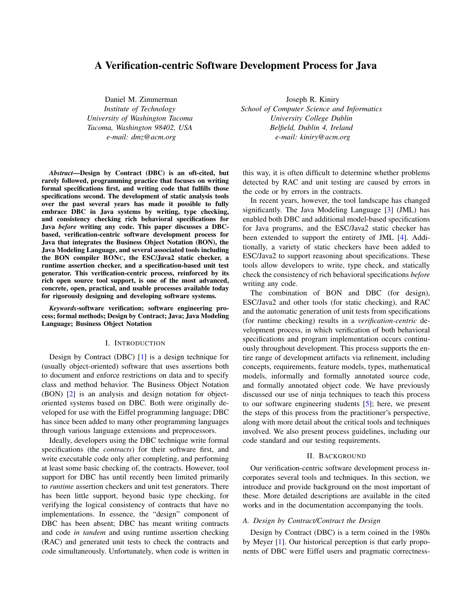# A Verification-centric Software Development Process for Java

Daniel M. Zimmerman *Institute of Technology University of Washington Tacoma Tacoma, Washington 98402, USA e-mail: dmz@acm.org*

*Abstract*—Design by Contract (DBC) is an oft-cited, but rarely followed, programming practice that focuses on writing formal specifications first, and writing code that fulfills those specifications second. The development of static analysis tools over the past several years has made it possible to fully embrace DBC in Java systems by writing, type checking, and consistency checking rich behavioral specifications for Java *before* writing any code. This paper discusses a DBCbased, verification-centric software development process for Java that integrates the Business Object Notation (BON), the Java Modeling Language, and several associated tools including the BON compiler BONC, the ESC/Java2 static checker, a runtime assertion checker, and a specification-based unit test generator. This verification-centric process, reinforced by its rich open source tool support, is one of the most advanced, concrete, open, practical, and usable processes available today for rigorously designing and developing software systems.

*Keywords*-software verification; software engineering process; formal methods; Design by Contract; Java; Java Modeling Language; Business Object Notation

#### I. INTRODUCTION

Design by Contract (DBC) [\[1\]](#page-8-0) is a design technique for (usually object-oriented) software that uses assertions both to document and enforce restrictions on data and to specify class and method behavior. The Business Object Notation (BON) [\[2\]](#page-8-1) is an analysis and design notation for objectoriented systems based on DBC. Both were originally developed for use with the Eiffel programming language; DBC has since been added to many other programming languages through various language extensions and preprocessors.

Ideally, developers using the DBC technique write formal specifications (the *contracts*) for their software first, and write executable code only after completing, and performing at least some basic checking of, the contracts. However, tool support for DBC has until recently been limited primarily to *runtime* assertion checkers and unit test generators. There has been little support, beyond basic type checking, for verifying the logical consistency of contracts that have no implementations. In essence, the "design" component of DBC has been absent; DBC has meant writing contracts and code *in tandem* and using runtime assertion checking (RAC) and generated unit tests to check the contracts and code simultaneously. Unfortunately, when code is written in

Joseph R. Kiniry *School of Computer Science and Informatics University College Dublin Belfield, Dublin 4, Ireland e-mail: kiniry@acm.org*

this way, it is often difficult to determine whether problems detected by RAC and unit testing are caused by errors in the code or by errors in the contracts.

In recent years, however, the tool landscape has changed significantly. The Java Modeling Language [\[3\]](#page-8-2) (JML) has enabled both DBC and additional model-based specifications for Java programs, and the ESC/Java2 static checker has been extended to support the entirety of JML [\[4\]](#page-8-3). Additionally, a variety of static checkers have been added to ESC/Java2 to support reasoning about specifications. These tools allow developers to write, type check, and statically check the consistency of rich behavioral specifications *before* writing any code.

The combination of BON and DBC (for design), ESC/Java2 and other tools (for static checking), and RAC and the automatic generation of unit tests from specifications (for runtime checking) results in a *verification-centric* development process, in which verification of both behavioral specifications and program implementation occurs continuously throughout development. This process supports the entire range of development artifacts via refinement, including concepts, requirements, feature models, types, mathematical models, informally and formally annotated source code, and formally annotated object code. We have previously discussed our use of ninja techniques to teach this process to our software engineering students [\[5\]](#page-8-4); here, we present the steps of this process from the practitioner's perspective, along with more detail about the critical tools and techniques involved. We also present process guidelines, including our code standard and our testing requirements.

#### II. BACKGROUND

Our verification-centric software development process incorporates several tools and techniques. In this section, we introduce and provide background on the most important of these. More detailed descriptions are available in the cited works and in the documentation accompanying the tools.

# *A. Design by Contract/Contract the Design*

Design by Contract (DBC) is a term coined in the 1980s by Meyer [\[1\]](#page-8-0). Our historical perception is that early proponents of DBC were Eiffel users and pragmatic correctness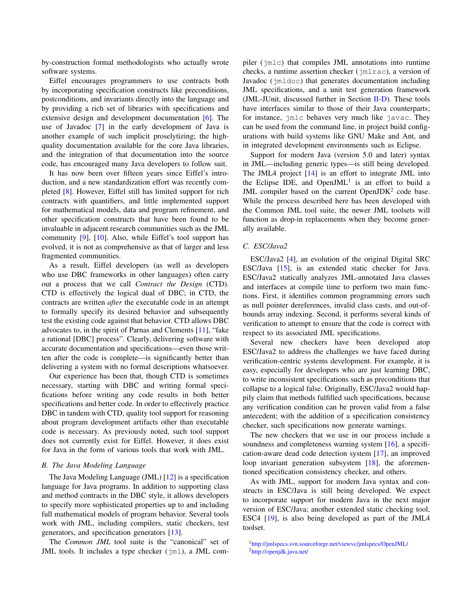by-construction formal methodologists who actually wrote software systems.

Eiffel encourages programmers to use contracts both by incorporating specification constructs like preconditions, postconditions, and invariants directly into the language and by providing a rich set of libraries with specifications and extensive design and development documentation [\[6\]](#page-8-5). The use of Javadoc [\[7\]](#page-8-6) in the early development of Java is another example of such implicit proselytizing; the highquality documentation available for the core Java libraries, and the integration of that documentation into the source code, has encouraged many Java developers to follow suit.

It has now been over fifteen years since Eiffel's introduction, and a new standardization effort was recently completed [\[8\]](#page-8-7). However, Eiffel still has limited support for rich contracts with quantifiers, and little implemented support for mathematical models, data and program refinement, and other specification constructs that have been found to be invaluable in adjacent research communities such as the JML community [\[9\]](#page-8-8), [\[10\]](#page-8-9). Also, while Eiffel's tool support has evolved, it is not as comprehensive as that of larger and less fragmented communities.

As a result, Eiffel developers (as well as developers who use DBC frameworks in other languages) often carry out a process that we call *Contract the Design* (CTD). CTD is effectively the logical dual of DBC; in CTD, the contracts are written *after* the executable code in an attempt to formally specify its desired behavior and subsequently test the existing code against that behavior. CTD allows DBC advocates to, in the spirit of Parnas and Clements [\[11\]](#page-8-10), "fake a rational [DBC] process". Clearly, delivering software with accurate documentation and specifications—even those written after the code is complete—is significantly better than delivering a system with no formal descriptions whatsoever.

Our experience has been that, though CTD is sometimes necessary, starting with DBC and writing formal specifications before writing any code results in both better specifications and better code. In order to effectively practice DBC in tandem with CTD, quality tool support for reasoning about program development artifacts other than executable code is necessary. As previously noted, such tool support does not currently exist for Eiffel. However, it does exist for Java in the form of various tools that work with JML.

#### *B. The Java Modeling Language*

The Java Modeling Language (JML) [\[12\]](#page-8-11) is a specification language for Java programs. In addition to supporting class and method contracts in the DBC style, it allows developers to specify more sophisticated properties up to and including full mathematical models of program behavior. Several tools work with JML, including compilers, static checkers, test generators, and specification generators [\[13\]](#page-8-12).

The *Common JML* tool suite is the "canonical" set of JML tools. It includes a type checker (jml), a JML compiler (jmlc) that compiles JML annotations into runtime checks, a runtime assertion checker (jmlrac), a version of Javadoc (jmldoc) that generates documentation including JML specifications, and a unit test generation framework (JML-JUnit, discussed further in Section  $II-D$ ). These tools have interfaces similar to those of their Java counterparts; for instance, jmlc behaves very much like javac. They can be used from the command line, in project build configurations with build systems like GNU Make and Ant, and in integrated development environments such as Eclipse.

Support for modern Java (version 5.0 and later) syntax in JML—including generic types—is still being developed. The JML4 project [\[14\]](#page-8-13) is an effort to integrate JML into the Eclipse IDE, and OpenJML<sup>1</sup> is an effort to build a JML compiler based on the current OpenJD $K^2$  code base. While the process described here has been developed with the Common JML tool suite, the newer JML toolsets will function as drop-in replacements when they become generally available.

# *C. ESC/Java2*

ESC/Java2 [\[4\]](#page-8-3), an evolution of the original Digital SRC ESC/Java [\[15\]](#page-8-14), is an extended static checker for Java. ESC/Java2 statically analyzes JML-annotated Java classes and interfaces at compile time to perform two main functions. First, it identifies common programming errors such as null pointer dereferences, invalid class casts, and out-ofbounds array indexing. Second, it performs several kinds of verification to attempt to ensure that the code is correct with respect to its associated JML specifications.

Several new checkers have been developed atop ESC/Java2 to address the challenges we have faced during verification-centric systems development. For example, it is easy, especially for developers who are just learning DBC, to write inconsistent specifications such as preconditions that collapse to a logical false. Originally, ESC/Java2 would happily claim that methods fulfilled such specifications, because any verification condition can be proven valid from a false antecedent; with the addition of a specification consistency checker, such specifications now generate warnings.

The new checkers that we use in our process include a soundness and completeness warning system [\[16\]](#page-8-15), a specification-aware dead code detection system [\[17\]](#page-8-16), an improved loop invariant generation subsystem [\[18\]](#page-8-17), the aforementioned specification consistency checker, and others.

As with JML, support for modern Java syntax and constructs in ESC/Java is still being developed. We expect to incorporate support for modern Java in the next major version of ESC/Java; another extended static checking tool, ESC4 [\[19\]](#page-9-0), is also being developed as part of the JML4 toolset.

<sup>1</sup><http://jmlspecs.svn.sourceforge.net/viewvc/jmlspecs/OpenJML/> <sup>2</sup><http://openjdk.java.net/>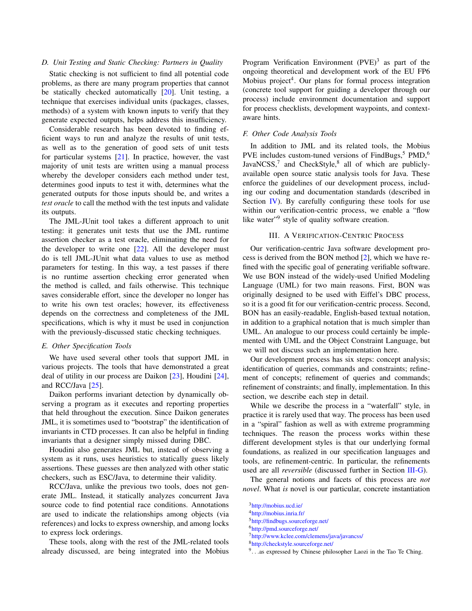# <span id="page-2-0"></span>*D. Unit Testing and Static Checking: Partners in Quality*

Static checking is not sufficient to find all potential code problems, as there are many program properties that cannot be statically checked automatically [\[20\]](#page-9-1). Unit testing, a technique that exercises individual units (packages, classes, methods) of a system with known inputs to verify that they generate expected outputs, helps address this insufficiency.

Considerable research has been devoted to finding efficient ways to run and analyze the results of unit tests, as well as to the generation of good sets of unit tests for particular systems [\[21\]](#page-9-2). In practice, however, the vast majority of unit tests are written using a manual process whereby the developer considers each method under test, determines good inputs to test it with, determines what the generated outputs for those inputs should be, and writes a *test oracle* to call the method with the test inputs and validate its outputs.

The JML-JUnit tool takes a different approach to unit testing: it generates unit tests that use the JML runtime assertion checker as a test oracle, eliminating the need for the developer to write one  $[22]$ . All the developer must do is tell JML-JUnit what data values to use as method parameters for testing. In this way, a test passes if there is no runtime assertion checking error generated when the method is called, and fails otherwise. This technique saves considerable effort, since the developer no longer has to write his own test oracles; however, its effectiveness depends on the correctness and completeness of the JML specifications, which is why it must be used in conjunction with the previously-discussed static checking techniques.

#### *E. Other Specification Tools*

We have used several other tools that support JML in various projects. The tools that have demonstrated a great deal of utility in our process are Daikon [\[23\]](#page-9-4), Houdini [\[24\]](#page-9-5), and RCC/Java [\[25\]](#page-9-6).

Daikon performs invariant detection by dynamically observing a program as it executes and reporting properties that held throughout the execution. Since Daikon generates JML, it is sometimes used to "bootstrap" the identification of invariants in CTD processes. It can also be helpful in finding invariants that a designer simply missed during DBC.

Houdini also generates JML but, instead of observing a system as it runs, uses heuristics to statically guess likely assertions. These guesses are then analyzed with other static checkers, such as ESC/Java, to determine their validity.

RCC/Java, unlike the previous two tools, does not generate JML. Instead, it statically analyzes concurrent Java source code to find potential race conditions. Annotations are used to indicate the relationships among objects (via references) and locks to express ownership, and among locks to express lock orderings.

These tools, along with the rest of the JML-related tools already discussed, are being integrated into the Mobius

Program Verification Environment  $(PVE)^3$  as part of the ongoing theoretical and development work of the EU FP6 Mobius project<sup>4</sup>. Our plans for formal process integration (concrete tool support for guiding a developer through our process) include environment documentation and support for process checklists, development waypoints, and contextaware hints.

#### *F. Other Code Analysis Tools*

In addition to JML and its related tools, the Mobius PVE includes custom-tuned versions of FindBugs,<sup>5</sup> PMD, $^{6}$ JavaNCSS, $7$  and CheckStyle, $8$  all of which are publiclyavailable open source static analysis tools for Java. These enforce the guidelines of our development process, including our coding and documentation standards (described in Section [IV\)](#page-5-0). By carefully configuring these tools for use within our verification-centric process, we enable a "flow like water"<sup>9</sup> style of quality software creation.

#### III. A VERIFICATION-CENTRIC PROCESS

Our verification-centric Java software development process is derived from the BON method [\[2\]](#page-8-1), which we have refined with the specific goal of generating verifiable software. We use BON instead of the widely-used Unified Modeling Language (UML) for two main reasons. First, BON was originally designed to be used with Eiffel's DBC process, so it is a good fit for our verification-centric process. Second, BON has an easily-readable, English-based textual notation, in addition to a graphical notation that is much simpler than UML. An analogue to our process could certainly be implemented with UML and the Object Constraint Language, but we will not discuss such an implementation here.

Our development process has six steps: concept analysis; identification of queries, commands and constraints; refinement of concepts; refinement of queries and commands; refinement of constraints; and finally, implementation. In this section, we describe each step in detail.

While we describe the process in a "waterfall" style, in practice it is rarely used that way. The process has been used in a "spiral" fashion as well as with extreme programming techniques. The reason the process works within these different development styles is that our underlying formal foundations, as realized in our specification languages and tools, are refinement-centric. In particular, the refinements used are all *reversible* (discussed further in Section [III-G\)](#page-5-1).

The general notions and facets of this process are *not novel*. What *is* novel is our particular, concrete instantiation

<sup>3</sup><http://mobius.ucd.ie/>

- <sup>4</sup><http://mobius.inria.fr/>
- <sup>5</sup><http://findbugs.sourceforge.net/>
- <sup>6</sup><http://pmd.sourceforge.net/>
- <sup>7</sup><http://www.kclee.com/clemens/java/javancss/>
- <sup>8</sup><http://checkstyle.sourceforge.net/>

 $9.$ . . as expressed by Chinese philosopher Laozi in the Tao Te Ching.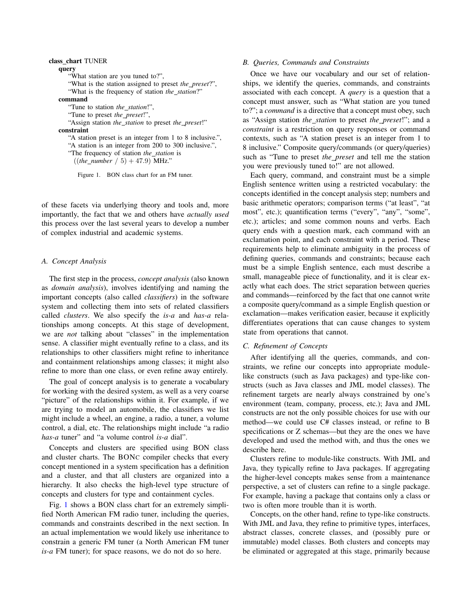class chart TUNER query 'What station are you tuned to?", "What is the station assigned to preset *the preset*?", "What is the frequency of station *the station*?" command "Tune to station *the station*!", "Tune to preset *the preset*!", "Assign station *the\_station* to preset *the\_preset*!" constraint "A station preset is an integer from 1 to 8 inclusive.", "A station is an integer from 200 to 300 inclusive.", "The frequency of station *the station* is  $((the_number / 5) + 47.9) MHz."$ 

<span id="page-3-0"></span>Figure 1. BON class chart for an FM tuner.

of these facets via underlying theory and tools and, more importantly, the fact that we and others have *actually used* this process over the last several years to develop a number of complex industrial and academic systems.

#### *A. Concept Analysis*

The first step in the process, *concept analysis* (also known as *domain analysis*), involves identifying and naming the important concepts (also called *classifiers*) in the software system and collecting them into sets of related classifiers called *clusters*. We also specify the *is-a* and *has-a* relationships among concepts. At this stage of development, we are *not* talking about "classes" in the implementation sense. A classifier might eventually refine to a class, and its relationships to other classifiers might refine to inheritance and containment relationships among classes; it might also refine to more than one class, or even refine away entirely.

The goal of concept analysis is to generate a vocabulary for working with the desired system, as well as a very coarse "picture" of the relationships within it. For example, if we are trying to model an automobile, the classifiers we list might include a wheel, an engine, a radio, a tuner, a volume control, a dial, etc. The relationships might include "a radio *has-a* tuner" and "a volume control *is-a* dial".

Concepts and clusters are specified using BON class and cluster charts. The BONC compiler checks that every concept mentioned in a system specification has a definition and a cluster, and that all clusters are organized into a hierarchy. It also checks the high-level type structure of concepts and clusters for type and containment cycles.

Fig. [1](#page-3-0) shows a BON class chart for an extremely simplified North American FM radio tuner, including the queries, commands and constraints described in the next section. In an actual implementation we would likely use inheritance to constrain a generic FM tuner (a North American FM tuner *is-a* FM tuner); for space reasons, we do not do so here.

### *B. Queries, Commands and Constraints*

Once we have our vocabulary and our set of relationships, we identify the queries, commands, and constraints associated with each concept. A *query* is a question that a concept must answer, such as "What station are you tuned to?"; a *command* is a directive that a concept must obey, such as "Assign station *the station* to preset *the preset*!"; and a *constraint* is a restriction on query responses or command contexts, such as "A station preset is an integer from 1 to 8 inclusive." Composite query/commands (or query/queries) such as "Tune to preset *the preset* and tell me the station you were previously tuned to!" are not allowed.

Each query, command, and constraint must be a simple English sentence written using a restricted vocabulary: the concepts identified in the concept analysis step; numbers and basic arithmetic operators; comparison terms ("at least", "at most", etc.); quantification terms ("every", "any", "some", etc.); articles; and some common nouns and verbs. Each query ends with a question mark, each command with an exclamation point, and each constraint with a period. These requirements help to eliminate ambiguity in the process of defining queries, commands and constraints; because each must be a simple English sentence, each must describe a small, manageable piece of functionality, and it is clear exactly what each does. The strict separation between queries and commands—reinforced by the fact that one cannot write a composite query/command as a simple English question or exclamation—makes verification easier, because it explicitly differentiates operations that can cause changes to system state from operations that cannot.

### *C. Refinement of Concepts*

After identifying all the queries, commands, and constraints, we refine our concepts into appropriate modulelike constructs (such as Java packages) and type-like constructs (such as Java classes and JML model classes). The refinement targets are nearly always constrained by one's environment (team, company, process, etc.); Java and JML constructs are not the only possible choices for use with our method—we could use C# classes instead, or refine to B specifications or Z schemas—but they are the ones we have developed and used the method with, and thus the ones we describe here.

Clusters refine to module-like constructs. With JML and Java, they typically refine to Java packages. If aggregating the higher-level concepts makes sense from a maintenance perspective, a set of clusters can refine to a single package. For example, having a package that contains only a class or two is often more trouble than it is worth.

Concepts, on the other hand, refine to type-like constructs. With JML and Java, they refine to primitive types, interfaces, abstract classes, concrete classes, and (possibly pure or immutable) model classes. Both clusters and concepts may be eliminated or aggregated at this stage, primarily because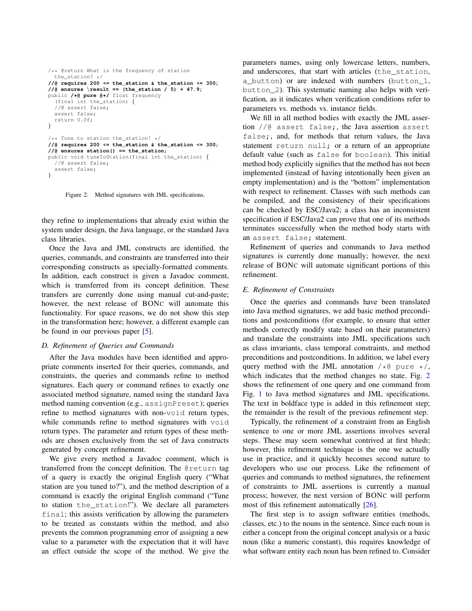```
/** @return What is the frequency of station
  the_station? */
//@ requires 200 <= the_station & the_station <= 300;
//@ ensures \result == (the_station / 5) + 47.9;
public /*@ pure @*/ float frequency
  (final int the_station) {
  //@ assert false;
  assert false;
  return 0.0f;
}
/** Tune to station the station! */
//@ requires 200 <= the_station & the_station <= 300;
//@ ensures station() == the_station;
public void tuneToStation(final int the_station) {
  //@ assert false;
  assert false;
}
```
<span id="page-4-0"></span>Figure 2. Method signatures with JML specifications.

they refine to implementations that already exist within the system under design, the Java language, or the standard Java class libraries.

Once the Java and JML constructs are identified, the queries, commands, and constraints are transferred into their corresponding constructs as specially-formatted comments. In addition, each construct is given a Javadoc comment, which is transferred from its concept definition. These transfers are currently done using manual cut-and-paste; however, the next release of BONC will automate this functionality. For space reasons, we do not show this step in the transformation here; however, a different example can be found in our previous paper [\[5\]](#page-8-4).

#### *D. Refinement of Queries and Commands*

After the Java modules have been identified and appropriate comments inserted for their queries, commands, and constraints, the queries and commands refine to method signatures. Each query or command refines to exactly one associated method signature, named using the standard Java method naming convention (e.g., assignPreset); queries refine to method signatures with non-void return types, while commands refine to method signatures with void return types. The parameter and return types of these methods are chosen exclusively from the set of Java constructs generated by concept refinement.

We give every method a Javadoc comment, which is transferred from the concept definition. The @return tag of a query is exactly the original English query ("What station are you tuned to?"), and the method description of a command is exactly the original English command ("Tune to station the\_station!"). We declare all parameters final; this assists verification by allowing the parameters to be treated as constants within the method, and also prevents the common programming error of assigning a new value to a parameter with the expectation that it will have an effect outside the scope of the method. We give the parameters names, using only lowercase letters, numbers, and underscores, that start with articles (the\_station, a\_button) or are indexed with numbers (button\_1, button\_2). This systematic naming also helps with verification, as it indicates when verification conditions refer to parameters vs. methods vs. instance fields.

We fill in all method bodies with exactly the JML assertion  $//@$  assert false;, the Java assertion assert false;, and, for methods that return values, the Java statement return null; or a return of an appropriate default value (such as false for boolean). This initial method body explicitly signifies that the method has not been implemented (instead of having intentionally been given an empty implementation) and is the "bottom" implementation with respect to refinement. Classes with such methods can be compiled, and the consistency of their specifications can be checked by ESC/Java2; a class has an inconsistent specification if ESC/Java2 can prove that one of its methods terminates successfully when the method body starts with an assert false; statement.

Refinement of queries and commands to Java method signatures is currently done manually; however, the next release of BONC will automate significant portions of this refinement.

#### *E. Refinement of Constraints*

Once the queries and commands have been translated into Java method signatures, we add basic method preconditions and postconditions (for example, to ensure that setter methods correctly modify state based on their parameters) and translate the constraints into JML specifications such as class invariants, class temporal constraints, and method preconditions and postconditions. In addition, we label every query method with the JML annotation  $/*@$  pure  $*/$ , which indicates that the method changes no state. Fig. [2](#page-4-0) shows the refinement of one query and one command from Fig. [1](#page-3-0) to Java method signatures and JML specifications. The text in boldface type is added in this refinement step; the remainder is the result of the previous refinement step.

Typically, the refinement of a constraint from an English sentence to one or more JML assertions involves several steps. These may seem somewhat contrived at first blush; however, this refinement technique is the one we actually use in practice, and it quickly becomes second nature to developers who use our process. Like the refinement of queries and commands to method signatures, the refinement of constraints to JML assertions is currently a manual process; however, the next version of BONC will perform most of this refinement automatically [\[26\]](#page-9-7).

The first step is to assign software entities (methods, classes, etc.) to the nouns in the sentence. Since each noun is either a concept from the original concept analysis or a basic noun (like a numeric constant), this requires knowledge of what software entity each noun has been refined to. Consider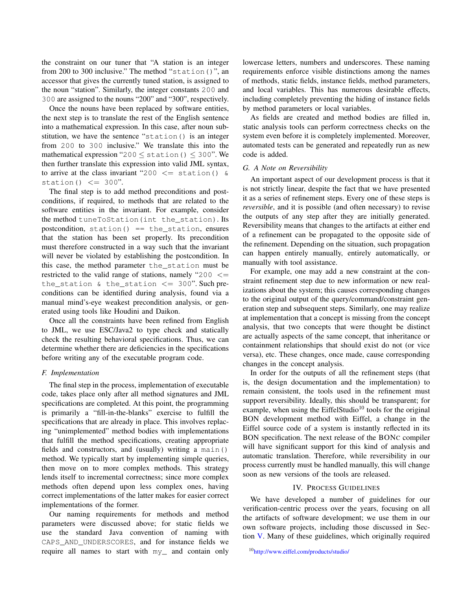the constraint on our tuner that "A station is an integer from 200 to 300 inclusive." The method "station()", an accessor that gives the currently tuned station, is assigned to the noun "station". Similarly, the integer constants 200 and 300 are assigned to the nouns "200" and "300", respectively.

Once the nouns have been replaced by software entities, the next step is to translate the rest of the English sentence into a mathematical expression. In this case, after noun substitution, we have the sentence "station() is an integer from 200 to 300 inclusive." We translate this into the mathematical expression "200  $\leq$  station ()  $\leq$  300". We then further translate this expression into valid JML syntax, to arrive at the class invariant "200  $\leq$  station () & station()  $\leq$  300".

The final step is to add method preconditions and postconditions, if required, to methods that are related to the software entities in the invariant. For example, consider the method tuneToStation(int the\_station). Its postcondition, station() == the\_station, ensures that the station has been set properly. Its precondition must therefore constructed in a way such that the invariant will never be violated by establishing the postcondition. In this case, the method parameter the\_station must be restricted to the valid range of stations, namely "200  $\leq$ the\_station & the\_station  $\leq$  300". Such preconditions can be identified during analysis, found via a manual mind's-eye weakest precondition analysis, or generated using tools like Houdini and Daikon.

Once all the constraints have been refined from English to JML, we use ESC/Java2 to type check and statically check the resulting behavioral specifications. Thus, we can determine whether there are deficiencies in the specifications before writing any of the executable program code.

## *F. Implementation*

The final step in the process, implementation of executable code, takes place only after all method signatures and JML specifications are completed. At this point, the programming is primarily a "fill-in-the-blanks" exercise to fulfill the specifications that are already in place. This involves replacing "unimplemented" method bodies with implementations that fulfill the method specifications, creating appropriate fields and constructors, and (usually) writing a main() method. We typically start by implementing simple queries, then move on to more complex methods. This strategy lends itself to incremental correctness; since more complex methods often depend upon less complex ones, having correct implementations of the latter makes for easier correct implementations of the former.

Our naming requirements for methods and method parameters were discussed above; for static fields we use the standard Java convention of naming with CAPS\_AND\_UNDERSCORES, and for instance fields we require all names to start with my\_ and contain only lowercase letters, numbers and underscores. These naming requirements enforce visible distinctions among the names of methods, static fields, instance fields, method parameters, and local variables. This has numerous desirable effects, including completely preventing the hiding of instance fields by method parameters or local variables.

As fields are created and method bodies are filled in, static analysis tools can perform correctness checks on the system even before it is completely implemented. Moreover, automated tests can be generated and repeatedly run as new code is added.

# <span id="page-5-1"></span>*G. A Note on Reversibility*

An important aspect of our development process is that it is not strictly linear, despite the fact that we have presented it as a series of refinement steps. Every one of these steps is *reversible*, and it is possible (and often necessary) to revise the outputs of any step after they are initially generated. Reversibility means that changes to the artifacts at either end of a refinement can be propagated to the opposite side of the refinement. Depending on the situation, such propagation can happen entirely manually, entirely automatically, or manually with tool assistance.

For example, one may add a new constraint at the constraint refinement step due to new information or new realizations about the system; this causes corresponding changes to the original output of the query/command/constraint generation step and subsequent steps. Similarly, one may realize at implementation that a concept is missing from the concept analysis, that two concepts that were thought be distinct are actually aspects of the same concept, that inheritance or containment relationships that should exist do not (or vice versa), etc. These changes, once made, cause corresponding changes in the concept analysis.

In order for the outputs of all the refinement steps (that is, the design documentation and the implementation) to remain consistent, the tools used in the refinement must support reversibility. Ideally, this should be transparent; for example, when using the EiffelStudio<sup>10</sup> tools for the original BON development method with Eiffel, a change in the Eiffel source code of a system is instantly reflected in its BON specification. The next release of the BONC compiler will have significant support for this kind of analysis and automatic translation. Therefore, while reversibility in our process currently must be handled manually, this will change soon as new versions of the tools are released.

### IV. PROCESS GUIDELINES

<span id="page-5-0"></span>We have developed a number of guidelines for our verification-centric process over the years, focusing on all the artifacts of software development; we use them in our own software projects, including those discussed in Section [V.](#page-7-0) Many of these guidelines, which originally required

<sup>10</sup><http://www.eiffel.com/products/studio/>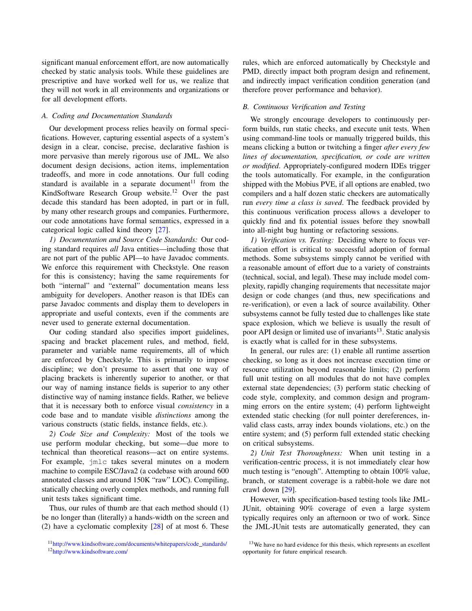significant manual enforcement effort, are now automatically checked by static analysis tools. While these guidelines are prescriptive and have worked well for us, we realize that they will not work in all environments and organizations or for all development efforts.

## *A. Coding and Documentation Standards*

Our development process relies heavily on formal specifications. However, capturing essential aspects of a system's design in a clear, concise, precise, declarative fashion is more pervasive than merely rigorous use of JML. We also document design decisions, action items, implementation tradeoffs, and more in code annotations. Our full coding standard is available in a separate document<sup>11</sup> from the KindSoftware Research Group website.<sup>12</sup> Over the past decade this standard has been adopted, in part or in full, by many other research groups and companies. Furthermore, our code annotations have formal semantics, expressed in a categorical logic called kind theory [\[27\]](#page-9-8).

*1) Documentation and Source Code Standards:* Our coding standard requires *all* Java entities—including those that are not part of the public API—to have Javadoc comments. We enforce this requirement with Checkstyle. One reason for this is consistency; having the same requirements for both "internal" and "external" documentation means less ambiguity for developers. Another reason is that IDEs can parse Javadoc comments and display them to developers in appropriate and useful contexts, even if the comments are never used to generate external documentation.

Our coding standard also specifies import guidelines, spacing and bracket placement rules, and method, field, parameter and variable name requirements, all of which are enforced by Checkstyle. This is primarily to impose discipline; we don't presume to assert that one way of placing brackets is inherently superior to another, or that our way of naming instance fields is superior to any other distinctive way of naming instance fields. Rather, we believe that it is necessary both to enforce visual *consistency* in a code base and to mandate visible *distinctions* among the various constructs (static fields, instance fields, etc.).

*2) Code Size and Complexity:* Most of the tools we use perform modular checking, but some—due more to technical than theoretical reasons—act on entire systems. For example, jmlc takes several minutes on a modern machine to compile ESC/Java2 (a codebase with around 600 annotated classes and around 150K "raw" LOC). Compiling, statically checking overly complex methods, and running full unit tests takes significant time.

Thus, our rules of thumb are that each method should (1) be no longer than (literally) a hands-width on the screen and (2) have a cyclomatic complexity [\[28\]](#page-9-9) of at most 6. These rules, which are enforced automatically by Checkstyle and PMD, directly impact both program design and refinement, and indirectly impact verification condition generation (and therefore prover performance and behavior).

#### *B. Continuous Verification and Testing*

We strongly encourage developers to continuously perform builds, run static checks, and execute unit tests. When using command-line tools or manually triggered builds, this means clicking a button or twitching a finger *after every few lines of documentation, specification, or code are written or modified*. Appropriately-configured modern IDEs trigger the tools automatically. For example, in the configuration shipped with the Mobius PVE, if all options are enabled, two compilers and a half dozen static checkers are automatically run *every time a class is saved*. The feedback provided by this continuous verification process allows a developer to quickly find and fix potential issues before they snowball into all-night bug hunting or refactoring sessions.

*1) Verification vs. Testing:* Deciding where to focus verification effort is critical to successful adoption of formal methods. Some subsystems simply cannot be verified with a reasonable amount of effort due to a variety of constraints (technical, social, and legal). These may include model complexity, rapidly changing requirements that necessitate major design or code changes (and thus, new specifications and re-verification), or even a lack of source availability. Other subsystems cannot be fully tested due to challenges like state space explosion, which we believe is usually the result of poor API design or limited use of invariants $13$ . Static analysis is exactly what is called for in these subsystems.

In general, our rules are: (1) enable all runtime assertion checking, so long as it does not increase execution time or resource utilization beyond reasonable limits; (2) perform full unit testing on all modules that do not have complex external state dependencies; (3) perform static checking of code style, complexity, and common design and programming errors on the entire system; (4) perform lightweight extended static checking (for null pointer dereferences, invalid class casts, array index bounds violations, etc.) on the entire system; and (5) perform full extended static checking on critical subsystems.

*2) Unit Test Thoroughness:* When unit testing in a verification-centric process, it is not immediately clear how much testing is "enough". Attempting to obtain 100% value, branch, or statement coverage is a rabbit-hole we dare not crawl down [\[29\]](#page-9-10).

However, with specification-based testing tools like JML-JUnit, obtaining 90% coverage of even a large system typically requires only an afternoon or two of work. Since the JML-JUnit tests are automatically generated, they can

<sup>11</sup>[http://www.kindsoftware.com/documents/whitepapers/code](http://www.kindsoftware.com/documents/whitepapers/code_standards/) standards/ <sup>12</sup><http://www.kindsoftware.com/>

<sup>&</sup>lt;sup>13</sup>We have no hard evidence for this thesis, which represents an excellent opportunity for future empirical research.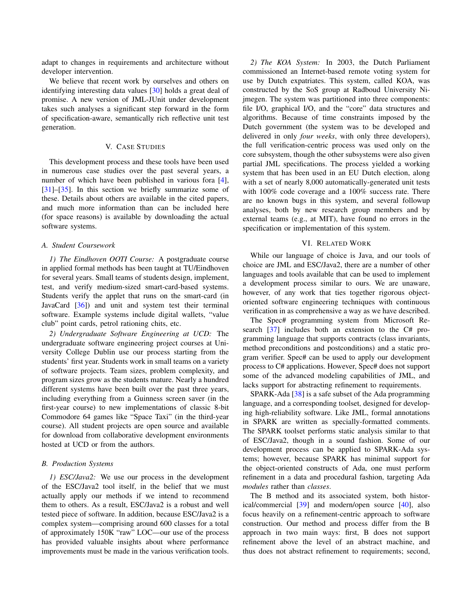adapt to changes in requirements and architecture without developer intervention.

We believe that recent work by ourselves and others on identifying interesting data values [\[30\]](#page-9-11) holds a great deal of promise. A new version of JML-JUnit under development takes such analyses a significant step forward in the form of specification-aware, semantically rich reflective unit test generation.

### V. CASE STUDIES

<span id="page-7-0"></span>This development process and these tools have been used in numerous case studies over the past several years, a number of which have been published in various fora [\[4\]](#page-8-3), [\[31\]](#page-9-12)–[\[35\]](#page-9-13). In this section we briefly summarize some of these. Details about others are available in the cited papers, and much more information than can be included here (for space reasons) is available by downloading the actual software systems.

### *A. Student Coursework*

*1) The Eindhoven OOTI Course:* A postgraduate course in applied formal methods has been taught at TU/Eindhoven for several years. Small teams of students design, implement, test, and verify medium-sized smart-card-based systems. Students verify the applet that runs on the smart-card (in JavaCard [\[36\]](#page-9-14)) and unit and system test their terminal software. Example systems include digital wallets, "value club" point cards, petrol rationing chits, etc.

*2) Undergraduate Software Engineering at UCD:* The undergraduate software engineering project courses at University College Dublin use our process starting from the students' first year. Students work in small teams on a variety of software projects. Team sizes, problem complexity, and program sizes grow as the students mature. Nearly a hundred different systems have been built over the past three years, including everything from a Guinness screen saver (in the first-year course) to new implementations of classic 8-bit Commodore 64 games like "Space Taxi" (in the third-year course). All student projects are open source and available for download from collaborative development environments hosted at UCD or from the authors.

#### *B. Production Systems*

*1) ESC/Java2:* We use our process in the development of the ESC/Java2 tool itself, in the belief that we must actually apply our methods if we intend to recommend them to others. As a result, ESC/Java2 is a robust and well tested piece of software. In addition, because ESC/Java2 is a complex system—comprising around 600 classes for a total of approximately 150K "raw" LOC—our use of the process has provided valuable insights about where performance improvements must be made in the various verification tools.

*2) The KOA System:* In 2003, the Dutch Parliament commissioned an Internet-based remote voting system for use by Dutch expatriates. This system, called KOA, was constructed by the SoS group at Radboud University Nijmegen. The system was partitioned into three components: file I/O, graphical I/O, and the "core" data structures and algorithms. Because of time constraints imposed by the Dutch government (the system was to be developed and delivered in only *four weeks*, with only three developers), the full verification-centric process was used only on the core subsystem, though the other subsystems were also given partial JML specifications. The process yielded a working system that has been used in an EU Dutch election, along with a set of nearly 8,000 automatically-generated unit tests with 100% code coverage and a 100% success rate. There are no known bugs in this system, and several followup analyses, both by new research group members and by external teams (e.g., at MIT), have found no errors in the specification or implementation of this system.

### VI. RELATED WORK

While our language of choice is Java, and our tools of choice are JML and ESC/Java2, there are a number of other languages and tools available that can be used to implement a development process similar to ours. We are unaware, however, of any work that ties together rigorous objectoriented software engineering techniques with continuous verification in as comprehensive a way as we have described.

The Spec# programming system from Microsoft Research [\[37\]](#page-9-15) includes both an extension to the C# programming language that supports contracts (class invariants, method preconditions and postconditions) and a static program verifier. Spec# can be used to apply our development process to C# applications. However, Spec# does not support some of the advanced modeling capabilities of JML, and lacks support for abstracting refinement to requirements.

SPARK-Ada [\[38\]](#page-9-16) is a safe subset of the Ada programming language, and a corresponding toolset, designed for developing high-reliability software. Like JML, formal annotations in SPARK are written as specially-formatted comments. The SPARK toolset performs static analysis similar to that of ESC/Java2, though in a sound fashion. Some of our development process can be applied to SPARK-Ada systems; however, because SPARK has minimal support for the object-oriented constructs of Ada, one must perform refinement in a data and procedural fashion, targeting Ada *modules* rather than *classes*.

The B method and its associated system, both historical/commercial [\[39\]](#page-9-17) and modern/open source [\[40\]](#page-9-18), also focus heavily on a refinement-centric approach to software construction. Our method and process differ from the B approach in two main ways: first, B does not support refinement above the level of an abstract machine, and thus does not abstract refinement to requirements; second,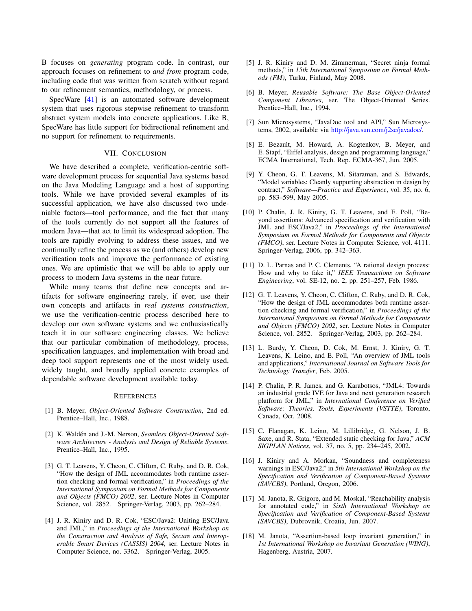B focuses on *generating* program code. In contrast, our approach focuses on refinement to *and from* program code, including code that was written from scratch without regard to our refinement semantics, methodology, or process.

SpecWare [\[41\]](#page-9-19) is an automated software development system that uses rigorous stepwise refinement to transform abstract system models into concrete applications. Like B, SpecWare has little support for bidirectional refinement and no support for refinement to requirements.

# VII. CONCLUSION

We have described a complete, verification-centric software development process for sequential Java systems based on the Java Modeling Language and a host of supporting tools. While we have provided several examples of its successful application, we have also discussed two undeniable factors—tool performance, and the fact that many of the tools currently do not support all the features of modern Java—that act to limit its widespread adoption. The tools are rapidly evolving to address these issues, and we continually refine the process as we (and others) develop new verification tools and improve the performance of existing ones. We are optimistic that we will be able to apply our process to modern Java systems in the near future.

While many teams that define new concepts and artifacts for software engineering rarely, if ever, use their own concepts and artifacts in *real systems construction*, we use the verification-centric process described here to develop our own software systems and we enthusiastically teach it in our software engineering classes. We believe that our particular combination of methodology, process, specification languages, and implementation with broad and deep tool support represents one of the most widely used, widely taught, and broadly applied concrete examples of dependable software development available today.

#### **REFERENCES**

- <span id="page-8-0"></span>[1] B. Meyer, *Object-Oriented Software Construction*, 2nd ed. Prentice–Hall, Inc., 1988.
- <span id="page-8-1"></span>[2] K. Waldén and J.-M. Nerson, Seamless Object-Oriented Soft*ware Architecture - Analysis and Design of Reliable Systems*. Prentice–Hall, Inc., 1995.
- <span id="page-8-2"></span>[3] G. T. Leavens, Y. Cheon, C. Clifton, C. Ruby, and D. R. Cok, "How the design of JML accommodates both runtime assertion checking and formal verification," in *Proceedings of the International Symposium on Formal Methods for Components and Objects (FMCO) 2002*, ser. Lecture Notes in Computer Science, vol. 2852. Springer-Verlag, 2003, pp. 262–284.
- <span id="page-8-3"></span>[4] J. R. Kiniry and D. R. Cok, "ESC/Java2: Uniting ESC/Java and JML," in *Proceedings of the International Workshop on the Construction and Analysis of Safe, Secure and Interoperable Smart Devices (CASSIS) 2004*, ser. Lecture Notes in Computer Science, no. 3362. Springer-Verlag, 2005.
- <span id="page-8-4"></span>[5] J. R. Kiniry and D. M. Zimmerman, "Secret ninja formal methods," in *15th International Symposium on Formal Methods (FM)*, Turku, Finland, May 2008.
- <span id="page-8-5"></span>[6] B. Meyer, *Reusable Software: The Base Object-Oriented Component Libraries*, ser. The Object-Oriented Series. Prentice–Hall, Inc., 1994.
- <span id="page-8-6"></span>[7] Sun Microsystems, "JavaDoc tool and API," Sun Microsystems, 2002, available via [http://java.sun.com/j2se/javadoc/.](http://java.sun.com/j2se/javadoc/)
- <span id="page-8-7"></span>[8] E. Bezault, M. Howard, A. Kogtenkov, B. Meyer, and E. Stapf, "Eiffel analysis, design and programming language," ECMA International, Tech. Rep. ECMA-367, Jun. 2005.
- <span id="page-8-8"></span>[9] Y. Cheon, G. T. Leavens, M. Sitaraman, and S. Edwards, "Model variables: Cleanly supporting abstraction in design by contract," *Software—Practice and Experience*, vol. 35, no. 6, pp. 583–599, May 2005.
- <span id="page-8-9"></span>[10] P. Chalin, J. R. Kiniry, G. T. Leavens, and E. Poll, "Beyond assertions: Advanced specification and verification with JML and ESC/Java2," in *Proceedings of the International Symposium on Formal Methods for Components and Objects (FMCO)*, ser. Lecture Notes in Computer Science, vol. 4111. Springer-Verlag, 2006, pp. 342–363.
- <span id="page-8-10"></span>[11] D. L. Parnas and P. C. Clements, "A rational design process: How and why to fake it," *IEEE Transactions on Software Engineering*, vol. SE-12, no. 2, pp. 251–257, Feb. 1986.
- <span id="page-8-11"></span>[12] G. T. Leavens, Y. Cheon, C. Clifton, C. Ruby, and D. R. Cok, "How the design of JML accommodates both runtime assertion checking and formal verification," in *Proceedings of the International Symposium on Formal Methods for Components and Objects (FMCO) 2002*, ser. Lecture Notes in Computer Science, vol. 2852. Springer-Verlag, 2003, pp. 262–284.
- <span id="page-8-12"></span>[13] L. Burdy, Y. Cheon, D. Cok, M. Ernst, J. Kiniry, G. T. Leavens, K. Leino, and E. Poll, "An overview of JML tools and applications," *International Journal on Software Tools for Technology Transfer*, Feb. 2005.
- <span id="page-8-13"></span>[14] P. Chalin, P. R. James, and G. Karabotsos, "JML4: Towards an industrial grade IVE for Java and next generation research platform for JML," in *International Conference on Verified Software: Theories, Tools, Experiments (VSTTE)*, Toronto, Canada, Oct. 2008.
- <span id="page-8-14"></span>[15] C. Flanagan, K. Leino, M. Lillibridge, G. Nelson, J. B. Saxe, and R. Stata, "Extended static checking for Java," *ACM SIGPLAN Notices*, vol. 37, no. 5, pp. 234–245, 2002.
- <span id="page-8-15"></span>[16] J. Kiniry and A. Morkan, "Soundness and completeness warnings in ESC/Java2," in *5th International Workshop on the Specification and Verification of Component-Based Systems (SAVCBS)*, Portland, Oregon, 2006.
- <span id="page-8-16"></span>[17] M. Janota, R. Grigore, and M. Moskal, "Reachability analysis for annotated code," in *Sixth International Workshop on Specification and Verification of Component-Based Systems (SAVCBS)*, Dubrovnik, Croatia, Jun. 2007.
- <span id="page-8-17"></span>[18] M. Janota, "Assertion-based loop invariant generation," in *1st International Workshop on Invariant Generation (WING)*, Hagenberg, Austria, 2007.